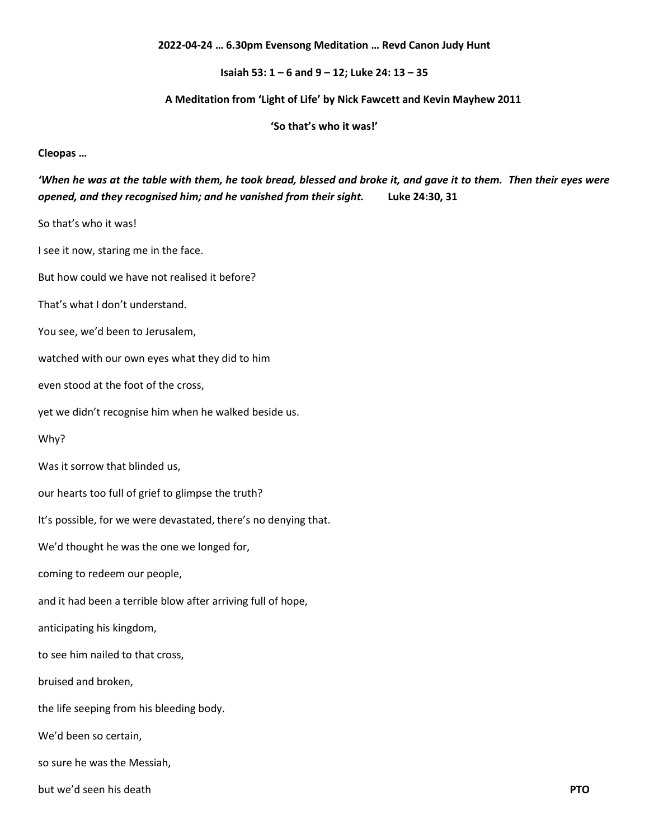## **2022-04-24 … 6.30pm Evensong Meditation … Revd Canon Judy Hunt**

**Isaiah 53: 1 – 6 and 9 – 12; Luke 24: 13 – 35**

## **A Meditation from 'Light of Life' by Nick Fawcett and Kevin Mayhew 2011**

**'So that's who it was!'**

**Cleopas …**

## *'When he was at the table with them, he took bread, blessed and broke it, and gave it to them. Then their eyes were opened, and they recognised him; and he vanished from their sight.* **Luke 24:30, 31**

So that's who it was!

I see it now, staring me in the face.

But how could we have not realised it before?

That's what I don't understand.

You see, we'd been to Jerusalem,

watched with our own eyes what they did to him

even stood at the foot of the cross,

yet we didn't recognise him when he walked beside us.

Why?

Was it sorrow that blinded us,

our hearts too full of grief to glimpse the truth?

It's possible, for we were devastated, there's no denying that.

We'd thought he was the one we longed for,

coming to redeem our people,

and it had been a terrible blow after arriving full of hope,

anticipating his kingdom,

to see him nailed to that cross,

bruised and broken,

the life seeping from his bleeding body.

We'd been so certain,

so sure he was the Messiah,

but we'd seen his death **PTO**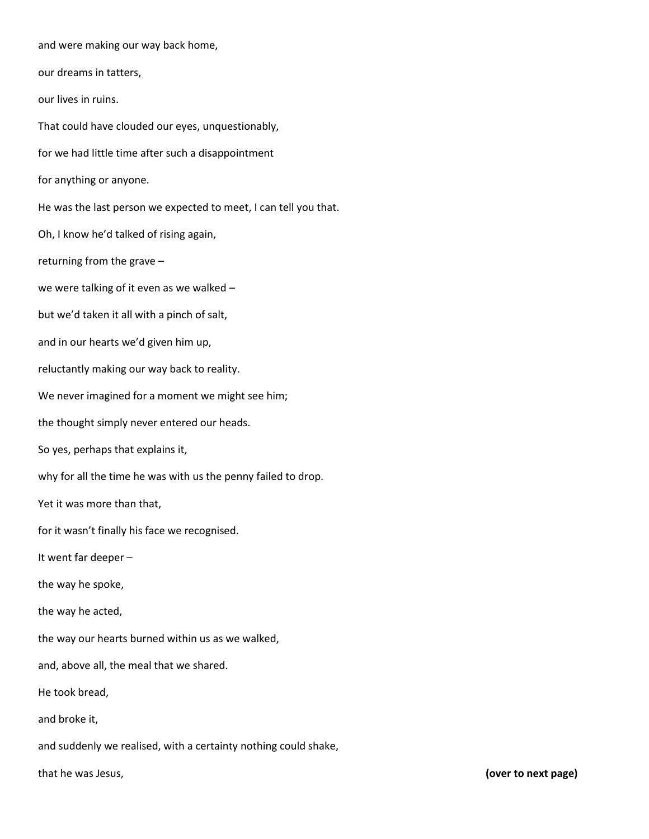and were making our way back home, our dreams in tatters, our lives in ruins. That could have clouded our eyes, unquestionably, for we had little time after such a disappointment for anything or anyone. He was the last person we expected to meet, I can tell you that. Oh, I know he'd talked of rising again, returning from the grave – we were talking of it even as we walked – but we'd taken it all with a pinch of salt, and in our hearts we'd given him up, reluctantly making our way back to reality. We never imagined for a moment we might see him; the thought simply never entered our heads. So yes, perhaps that explains it, why for all the time he was with us the penny failed to drop. Yet it was more than that, for it wasn't finally his face we recognised. It went far deeper – the way he spoke, the way he acted, the way our hearts burned within us as we walked, and, above all, the meal that we shared. He took bread, and broke it, and suddenly we realised, with a certainty nothing could shake, that he was Jesus, **(over to next page)**